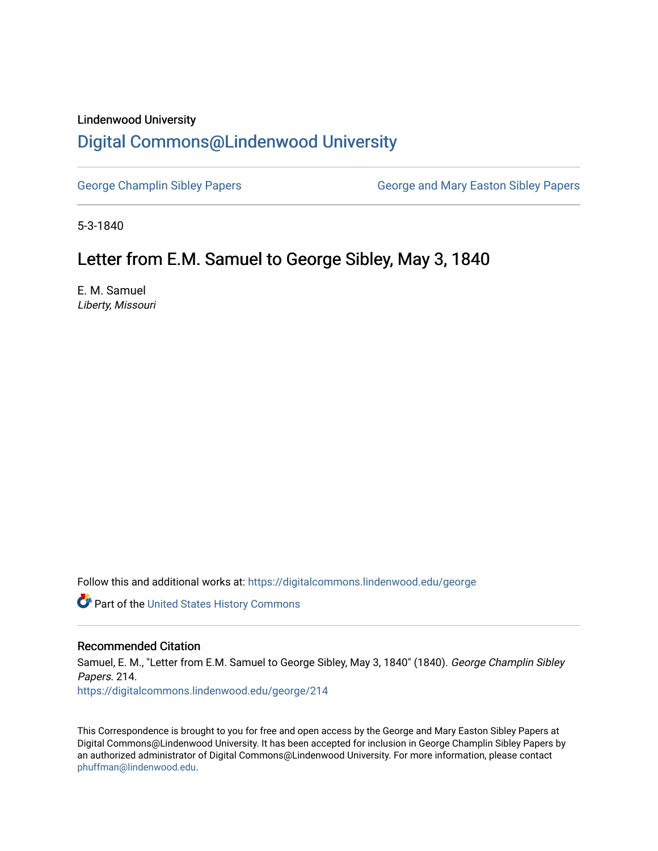## Lindenwood University

## [Digital Commons@Lindenwood University](https://digitalcommons.lindenwood.edu/)

[George Champlin Sibley Papers](https://digitalcommons.lindenwood.edu/george) George and Mary Easton Sibley Papers

5-3-1840

## Letter from E.M. Samuel to George Sibley, May 3, 1840

E. M. Samuel Liberty, Missouri

Follow this and additional works at: [https://digitalcommons.lindenwood.edu/george](https://digitalcommons.lindenwood.edu/george?utm_source=digitalcommons.lindenwood.edu%2Fgeorge%2F214&utm_medium=PDF&utm_campaign=PDFCoverPages)

Part of the [United States History Commons](http://network.bepress.com/hgg/discipline/495?utm_source=digitalcommons.lindenwood.edu%2Fgeorge%2F214&utm_medium=PDF&utm_campaign=PDFCoverPages) 

## Recommended Citation

Samuel, E. M., "Letter from E.M. Samuel to George Sibley, May 3, 1840" (1840). George Champlin Sibley Papers. 214. [https://digitalcommons.lindenwood.edu/george/214](https://digitalcommons.lindenwood.edu/george/214?utm_source=digitalcommons.lindenwood.edu%2Fgeorge%2F214&utm_medium=PDF&utm_campaign=PDFCoverPages)

This Correspondence is brought to you for free and open access by the George and Mary Easton Sibley Papers at Digital Commons@Lindenwood University. It has been accepted for inclusion in George Champlin Sibley Papers by an authorized administrator of Digital Commons@Lindenwood University. For more information, please contact [phuffman@lindenwood.edu](mailto:phuffman@lindenwood.edu).